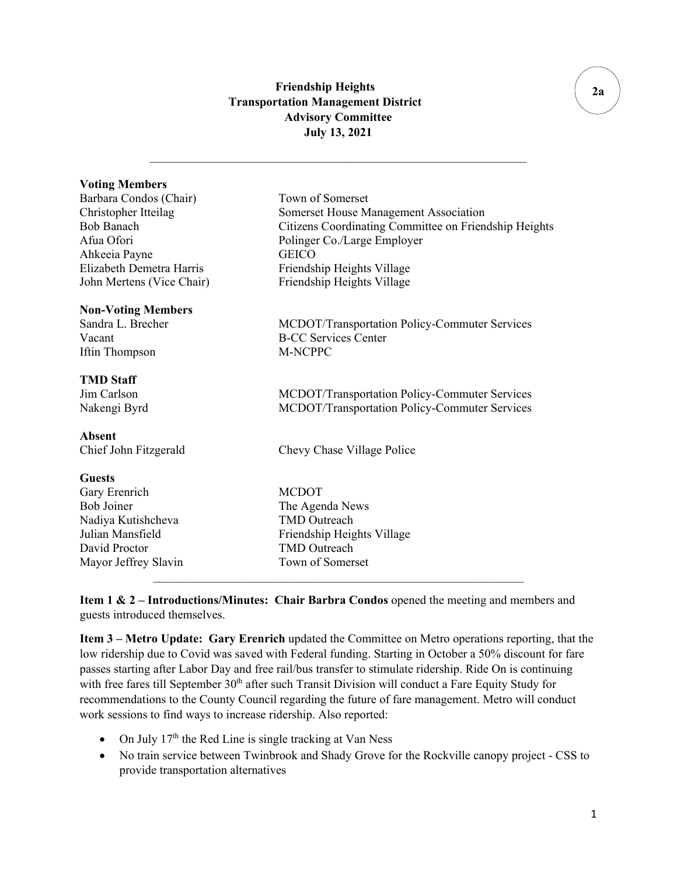## **Friendship Heights Transportation Management District Advisory Committee July 13, 2021**

 $\mathcal{L}_\text{max}$  , and the set of the set of the set of the set of the set of the set of the set of the set of the set of

# **Voting Members** Barbara Condos (Chair) Town of Somerset Christopher Itteilag Somerset House Management Association Bob Banach Citizens Coordinating Committee on Friendship Heights Afua Ofori Polinger Co./Large Employer Ahkeeia Payne GEICO Elizabeth Demetra Harris Friendship Heights Village John Mertens (Vice Chair) Friendship Heights Village **Non-Voting Members** Sandra L. Brecher MCDOT/Transportation Policy-Commuter Services Vacant B-CC Services Center Iftin Thompson M-NCPPC **TMD Staff**  Jim Carlson MCDOT/Transportation Policy-Commuter Services Nakengi Byrd MCDOT/Transportation Policy-Commuter Services **Absent** Chief John Fitzgerald Chevy Chase Village Police **Guests** Gary Erenrich MCDOT Bob Joiner The Agenda News Nadiya Kutishcheva TMD Outreach Julian Mansfield Friendship Heights Village David Proctor TMD Outreach Mayor Jeffrey Slavin Town of Somerset  $\mathcal{L}_\text{max}$  , and the contract of the contract of the contract of the contract of the contract of the contract of

**Item 1 & 2 – Introductions/Minutes: Chair Barbra Condos** opened the meeting and members and guests introduced themselves.

**Item 3 – Metro Update: Gary Erenrich** updated the Committee on Metro operations reporting, that the low ridership due to Covid was saved with Federal funding. Starting in October a 50% discount for fare passes starting after Labor Day and free rail/bus transfer to stimulate ridership. Ride On is continuing with free fares till September 30<sup>th</sup> after such Transit Division will conduct a Fare Equity Study for recommendations to the County Council regarding the future of fare management. Metro will conduct work sessions to find ways to increase ridership. Also reported:

- On July  $17<sup>th</sup>$  the Red Line is single tracking at Van Ness
- No train service between Twinbrook and Shady Grove for the Rockville canopy project CSS to provide transportation alternatives

**2a**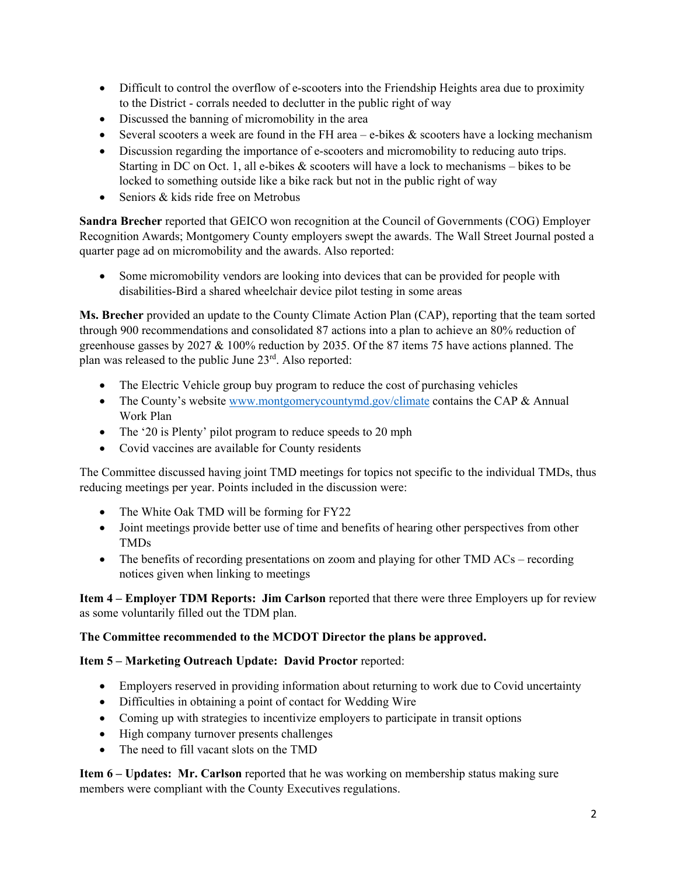- Difficult to control the overflow of e-scooters into the Friendship Heights area due to proximity to the District - corrals needed to declutter in the public right of way
- Discussed the banning of micromobility in the area
- Several scooters a week are found in the FH area  $-e$ -bikes  $\&$  scooters have a locking mechanism
- Discussion regarding the importance of e-scooters and micromobility to reducing auto trips. Starting in DC on Oct. 1, all e-bikes  $\&$  scooters will have a lock to mechanisms – bikes to be locked to something outside like a bike rack but not in the public right of way
- Seniors & kids ride free on Metrobus

**Sandra Brecher** reported that GEICO won recognition at the Council of Governments (COG) Employer Recognition Awards; Montgomery County employers swept the awards. The Wall Street Journal posted a quarter page ad on micromobility and the awards. Also reported:

• Some micromobility vendors are looking into devices that can be provided for people with disabilities-Bird a shared wheelchair device pilot testing in some areas

**Ms. Brecher** provided an update to the County Climate Action Plan (CAP), reporting that the team sorted through 900 recommendations and consolidated 87 actions into a plan to achieve an 80% reduction of greenhouse gasses by 2027 & 100% reduction by 2035. Of the 87 items 75 have actions planned. The plan was released to the public June 23rd. Also reported:

- The Electric Vehicle group buy program to reduce the cost of purchasing vehicles
- The County's website [www.montgomerycountymd.gov/climate](http://www.montgomerycountymd.gov/climate) contains the CAP & Annual Work Plan
- The '20 is Plenty' pilot program to reduce speeds to 20 mph
- Covid vaccines are available for County residents

The Committee discussed having joint TMD meetings for topics not specific to the individual TMDs, thus reducing meetings per year. Points included in the discussion were:

- The White Oak TMD will be forming for FY22
- Joint meetings provide better use of time and benefits of hearing other perspectives from other TMDs
- The benefits of recording presentations on zoom and playing for other TMD ACs recording notices given when linking to meetings

**Item 4 – Employer TDM Reports: Jim Carlson** reported that there were three Employers up for review as some voluntarily filled out the TDM plan.

#### **The Committee recommended to the MCDOT Director the plans be approved.**

#### **Item 5 – Marketing Outreach Update: David Proctor** reported:

- Employers reserved in providing information about returning to work due to Covid uncertainty
- Difficulties in obtaining a point of contact for Wedding Wire
- Coming up with strategies to incentivize employers to participate in transit options
- High company turnover presents challenges
- The need to fill vacant slots on the TMD

**Item 6 – Updates: Mr. Carlson** reported that he was working on membership status making sure members were compliant with the County Executives regulations.